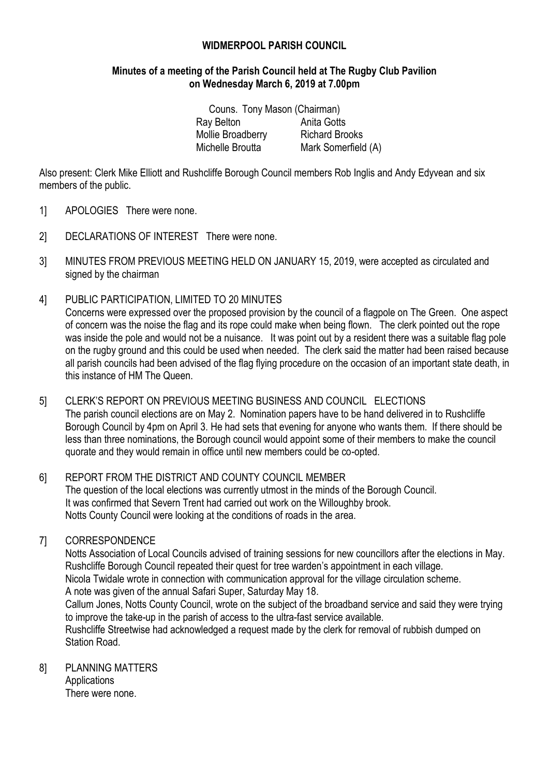# **WIDMERPOOL PARISH COUNCIL**

# **Minutes of a meeting of the Parish Council held at The Rugby Club Pavilion on Wednesday March 6, 2019 at 7.00pm**

Couns. Tony Mason (Chairman) Ray Belton **Anita Gotts** Mollie Broadberry Richard Brooks Michelle Broutta Mark Somerfield (A)

Also present: Clerk Mike Elliott and Rushcliffe Borough Council members Rob Inglis and Andy Edyvean and six members of the public.

- 1] APOLOGIES There were none.
- 2] DECLARATIONS OF INTEREST There were none.
- 3] MINUTES FROM PREVIOUS MEETING HELD ON JANUARY 15, 2019, were accepted as circulated and signed by the chairman
- 4] PUBLIC PARTICIPATION, LIMITED TO 20 MINUTES

Concerns were expressed over the proposed provision by the council of a flagpole on The Green. One aspect of concern was the noise the flag and its rope could make when being flown. The clerk pointed out the rope was inside the pole and would not be a nuisance. It was point out by a resident there was a suitable flag pole on the rugby ground and this could be used when needed. The clerk said the matter had been raised because all parish councils had been advised of the flag flying procedure on the occasion of an important state death, in this instance of HM The Queen.

5] CLERK'S REPORT ON PREVIOUS MEETING BUSINESS AND COUNCIL ELECTIONS The parish council elections are on May 2. Nomination papers have to be hand delivered in to Rushcliffe Borough Council by 4pm on April 3. He had sets that evening for anyone who wants them. If there should be less than three nominations, the Borough council would appoint some of their members to make the council quorate and they would remain in office until new members could be co-opted.

# 6] REPORT FROM THE DISTRICT AND COUNTY COUNCIL MEMBER

The question of the local elections was currently utmost in the minds of the Borough Council. It was confirmed that Severn Trent had carried out work on the Willoughby brook. Notts County Council were looking at the conditions of roads in the area.

# 7] CORRESPONDENCE

Notts Association of Local Councils advised of training sessions for new councillors after the elections in May. Rushcliffe Borough Council repeated their quest for tree warden's appointment in each village. Nicola Twidale wrote in connection with communication approval for the village circulation scheme. A note was given of the annual Safari Super, Saturday May 18. Callum Jones, Notts County Council, wrote on the subject of the broadband service and said they were trying to improve the take-up in the parish of access to the ultra-fast service available. Rushcliffe Streetwise had acknowledged a request made by the clerk for removal of rubbish dumped on Station Road.

#### 8] PLANNING MATTERS **Applications** There were none.